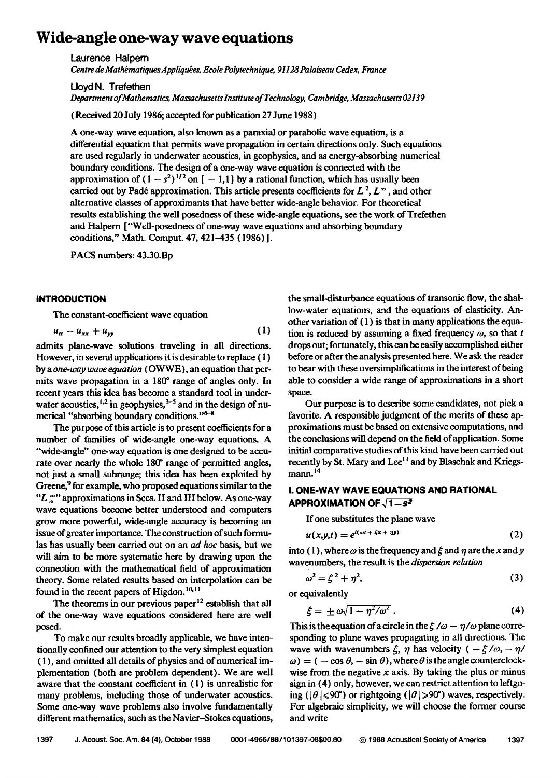# **Wide-angle one-way wave equations**

**Laurence Halpern** 

Centre de Mathématiques Appliquées, Ecole Polytechnique, 91128 Palaiseau Cedex, France

**Lloyd N. Trefethen** 

**Department of Mathematics, Massachusetts Intitute of Technology, Cambridge, Massachusetts 02139** 

**(Received 20 July 1986; accepted for publication 27 June 1988)** 

**A one-way wave equation, also known as a paraxial or parabolic wave equation, is a differential equation that permits wave propagation in certain directions only. Such equations are used regularly in underwater acoustics, in geophysics, and as energy-absorbing numerical boundary conditions. The design of a one-way wave equation is connected with the**  approximation of  $(1 - s^2)^{1/2}$  on  $[-1,1]$  by a rational function, which has usually been carried out by Padé approximation. This article presents coefficients for  $L^2$ ,  $L^{\infty}$ , and other **alternative classes of approximants that have better wide-angle behavior. For theoretical results establishing the well posedness of these wide-angie equations, see the work of Trefethen**  and Halpern ["Well-posedness of one-way wave equations and absorbing boundary **conditions," Math. Cornput. 47, 421-435 (1986) ].** 

**PACS numbers: 43.30.Bp** 

## **INTRODUCTION**

**The constant-coefficient wave equation** 

$$
u_{tt} = u_{xx} + u_{yy} \tag{1}
$$

**admits plane-wave solutions traveling in all directions.**  However, in several applications it is desirable to replace (1) **by a one-way wave equation (OWWE), an equation that per**mits wave propagation in a 180<sup>°</sup> range of angles only. In **recent years this idea has become a standard tool in under**water acoustics, <sup>1,2</sup> in geophysics, <sup>3-5</sup> and in the design of numerical "absorbing boundary conditions."<sup>6-8</sup>

**The purpose of this article is to present coefficients for a number of families of wide-angle one-way equations. A "wide-angle" one-way equation is one designed to be accu**rate over nearly the whole 180<sup>°</sup> range of permitted angles, **not just a small subrange; this idea has been exploited by**  Greene,<sup>9</sup> for example, who proposed equations similar to the **"L**  $\alpha$ " approximations in Secs. II and III below. As one-way **wave equations become better understood and computers grow more powerful, wide-angle accuracy is becoming an issue of greater importance. The construction of such formulas has usually been carried out on an ad hoc basis, but we will aim to be more systematic here by drawing upon the connection with the mathematical field of approximation theory. Some related results based on interpolation can be**  found in the recent papers of Higdon.<sup>10,11</sup>

The theorems in our previous paper<sup>12</sup> establish that all **of the one-way wave equations considered here are well posed.** 

**To make our results broadly applicable, we have intentionally confined our attention to the very simplest equation ( 1 ), and omitted all details of physics and of numerical implementation (both are problem dependent). We are well aware that the constant coefficient in (1) is unrealistic for many problems, including those of underwater acoustics. Some one-way wave problems also involve fundamentally different mathematics, such as the Navier-Stokes equations,**  **the small-disturbance equations of transonic flow, the shallow-water equations, and the equations of elasticity. Another variation of ( 1 ) is that in many applications the equa**tion is reduced by assuming a fixed frequency  $\omega$ , so that  $t$ **drops out; fortunately, this can be easily accomplished either before or after the analysis presented here. We ask the reader**  to bear with these oversimplifications in the interest of being **able to consider a wide range of approximations in a short space.** 

**Our purpose is to describe some candidates, not pick a favorite. A responsible judgment of the merits of these approximations must be based on extensive computations, and the conclusions will depend on the field of application. Some initial comparative studies of this kind have been carried out**  recently by St. Mary and Lee<sup>13</sup> and by Blaschak and Kriegs**mann. 14** 

## **I, ONE-WAY WAVE EQUATIONS AND RATIONAL APPROXIMATION OF**  $\sqrt{1-s^2}$

**If one substitutes the plane wave** 

$$
u(x,y,t) = e^{i(\omega t + \xi x + \eta y)}
$$
 (2)

into (1), where  $\omega$  is the frequency and  $\xi$  and  $\eta$  are the x and y **wavenumbers, the result is the dispersion relation** 

$$
\omega^2 = \xi^2 + \eta^2,\tag{3}
$$

**or equivalently** 

$$
\xi = \pm \omega \sqrt{1 - \eta^2/\omega^2} \,. \tag{4}
$$

This is the equation of a circle in the  $\xi/\omega - \eta/\omega$  plane corre**sponding to plane waves propagating in all directions. The**  wave with wavenumbers  $\xi$ ,  $\eta$  has velocity  $(-\xi/\omega, -\eta/\omega)$  $\omega$ ) = (  $-\cos \theta$ ,  $-\sin \theta$ ), where  $\theta$  is the angle counterclock**wise from the negative x axis. By taking the plus or minus sign in (4) only, however, we can restrict attention to leftgo**ing ( $|\theta| \le 90^{\circ}$ ) or rightgoing ( $|\theta| \ge 90^{\circ}$ ) waves, respectively. **For algebraic simplicity, we will choose the former course and write**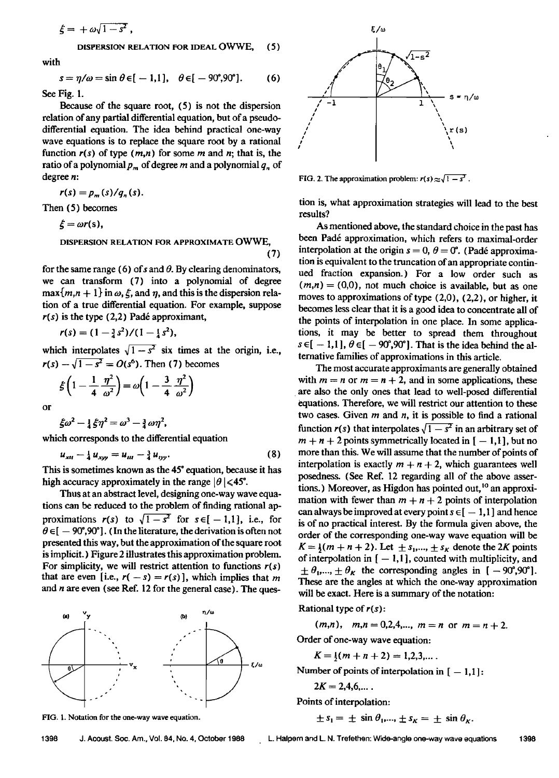$$
\xi = +\omega\sqrt{1-s^2} ,
$$

**DISPERSION RELATION FOR IDEAL OWWE, (:5)** 

**with** 

$$
s = \eta/\omega = \sin \theta \in [-1,1], \quad \theta \in [-90^\circ, 90^\circ]. \tag{6}
$$

**See Fig. 1.** 

**Because of the square root, (5) is not the dispersion relation of any partial differential equation, but of a pseudodifferential equation. The idea behind practical one-way wave equations is to replace the square root by a rational**  function  $r(s)$  of type  $(m,n)$  for some m and n; that is, the ratio of a polynomial  $p_m$  of degree m and a polynomial  $q_n$  of **degree n:** 

 $r(s) = p_m(s)/q_n(s)$ .

**Then (5) becomes** 

$$
\xi = \omega r(s),
$$

**DISPERSION RELATION FOR APPROXIMATE OWWE,** 

**(7)** 

for the same range (6) of s and  $\theta$ . By clearing denominators, **we can transform (7) into a polynomial of degree**   $\max\{m, n+1\}$  in  $\omega$ ,  $\xi$ , and  $\eta$ , and this is the dispersion rela**tion of a true differential equation. For example, suppose**   $r(s)$  is the type  $(2,2)$  Padé approximant,

$$
r(s) = (1 - \frac{3}{4}s^2)/(1 - \frac{1}{4}s^2),
$$

which interpolates  $\sqrt{1-s^2}$  six times at the origin, i.e.,  $r(s) - \sqrt{1 - s^2} = O(s^6)$ . Then (7) becomes

$$
\xi \left(1 - \frac{1}{4} \frac{\eta^2}{\omega^2}\right) = \omega \left(1 - \frac{3}{4} \frac{\eta^2}{\omega^2}\right)
$$

**or** 

$$
\xi\omega^2-\tfrac{1}{4}\xi\eta^2=\omega^3-\tfrac{3}{4}\omega\eta^2,
$$

**which corresponds to the differential equation** 

$$
u_{xii} - \frac{1}{4} u_{xyy} = u_{iii} - \frac{3}{4} u_{yy}.
$$
 (8)

This is sometimes known as the 45<sup>°</sup> equation, because it has high accuracy approximately in the range  $|0| \leq 45^{\circ}$ .

Thus at an abstract level, designing one-way wave equations can be reduced to the problem of finding rational approximations  $r(s)$  to  $\sqrt{1-s^2}$  for  $s \in \{-1,1\}$ , i.e., for  $\theta \in ]-90^\circ,90^\circ]$ . (In the literature, the derivation is often not **presented this way, but the approximation of the square root** is implicit.) Figure 2 illustrates this approximation problem. **For simplicity, we will restrict attention to functions r(s)**  that are even [i.e.,  $r(-s) = r(s)$ ], which implies that m and *n* are even (see Ref. 12 for the general case). The ques-







**FIG. 2. The approximation problem:**  $r(s) \approx \sqrt{1-s^2}$ .

**tion is, what approximation strategies will lead to the best results?** 

**As mentioned above, the standard choice in the past has**  been Padé approximation, which refers to maximal-order interpolation at the origin  $s = 0$ ,  $\theta = 0^{\circ}$ . (Padé approxima**tion is equivalent to the truncation of an appropriate continued fraction expansion.) For a low order such as**   $(m,n) = (0,0)$ , not much choice is available, but as one **moves to approximations of type (2,0), (2,2), or higher, it becomes less clear that it is a good idea to concentrate all of**  the points of interpolation in one place. In some applica**tions, it may be better to spread them throughout**   $s \in [-1,1], \theta \in [-90^\circ, 90^\circ]$ . That is the idea behind the al**ternative families of approximations in this article.** 

**The most accurate approximants are generally obtained**  with  $m = n$  or  $m = n + 2$ , and in some applications, these **are also the only ones that lead to well-posed differential equations. Therefore, we will restrict our attention to these two cases. Given m and n, it is possible to find a rational**  function  $r(s)$  that interpolates  $\sqrt{1-s^2}$  in an arbitrary set of  $m + n + 2$  points symmetrically located in  $[-1,1]$ , but no **more than this. We will assume that the number of points of**  interpolation is exactly  $m + n + 2$ , which guarantees well **posedness. (See Ref. 12 regarding all of the above asser**tions.) Moreover, as Higdon has pointed out,<sup>10</sup> an approximation with fewer than  $m + n + 2$  points of interpolation can always be improved at every point  $s \in [-1,1]$  and hence **is of no practical interest. By the formula given above, the order of the corresponding one-way wave equation will be**   $K = \frac{1}{m} (m + n + 2)$ . Let  $\pm s_1, \dots, \pm s_k$  denote the 2K points of interpolation in  $[-1,1]$ , counted with multiplicity, and  $\pm \theta_1$ ,...,  $\pm \theta_{\kappa}$  the corresponding angles in [ -90°,90°]. **These are the angles at which the one-way approximation will be exact. Here is a summary of the notation:** 

**Rational type of r(s):** 

 $(m,n)$ ,  $m,n=0,2,4,..., m=n$  or  $m=n+2$ .

**Order of one-way wave equation:** 

 $K = \frac{1}{2}(m + n + 2) = 1,2,3,...$ 

Number of points of interpolation in  $[-1,1]$ :

$$
2K=2,4,6,\ldots
$$

**Points of interpolation:** 

$$
\pm s_1 = \pm \sin \theta_1, \dots, \pm s_K = \pm \sin \theta_K.
$$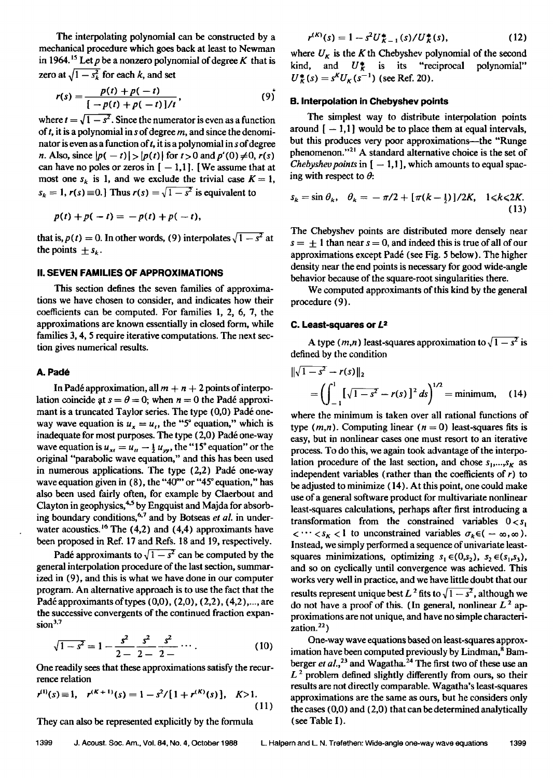**The interpolating polynomial can be constructed by a mechanical procedure which goes back at least to Newman**  in 1964.<sup>15</sup> Let  $p$  be a nonzero polynomial of degree  $K$  that is **zero at**  $\sqrt{1 - s_k^2}$  for each k, and set

$$
r(s) = \frac{p(t) + p(-t)}{[-p(t) + p(-t)]/t},
$$
\n(9)

where  $t = \sqrt{1-s^2}$ . Since the numerator is even as a function **oft, it is a polynomial in s of degree m, and since the denomi**nator is even as a function of t, it is a polynomial in s of degree *n*. Also, since  $|p(-t)| > |p(t)|$  for  $t > 0$  and  $p'(0) \neq 0$ ,  $r(s)$ can have no poles or zeros in  $[-1,1]$ . [We assume that at most one  $s_k$  is 1, and we exclude the trivial case  $K = 1$ ,  $s_k = 1$ ,  $r(s) \equiv 0$ . Thus  $r(s) = \sqrt{1 - s^2}$  is equivalent to

$$
p(t) + p(-t) = -p(t) + p(-t),
$$

that is,  $p(t) = 0$ . In other words, (9) interpolates  $\sqrt{1 - s^2}$  at the points  $\pm s_k$ .

#### **II. SEVEN FAMILIES OF APPROXIMATIONS**

**This section defines the seven families of approximations we have chosen to consider, and indicates how their coefficients can be computed. For families 1, 2, 6, 7, the approximations are known essentially in closed form, while families 3, 4, 5 require iterative computations. The next section gives numerical results.** 

#### A. Padé

In Padé approximation, all  $m + n + 2$  points of interpolation coincide at  $s = \theta = 0$ ; when  $n = 0$  the Padé approximant is a truncated Taylor series. The type (0,0) Padé oneway wave equation is  $u_x = u_t$ , the "5<sup>°</sup> equation," which is inadequate for most purposes. The type (2,0) Padé one-way wave equation is  $u_{xt} = u_u - \frac{1}{2} u_{yy}$ , the "15° equation" or the **original "parabolic wave equation," and this has been used**  in numerous applications. The type (2,2) Padé one-way wave equation given in (8), the "40" or "45° equation," has **also been used fairly often, for example by Claerbout and Clayton in geophysics, 4'• by Engquist and Majda for absorb**ing boundary conditions,<sup>6,7</sup> and by Botseas et al. in under**water acoustics. •6 The (4,2) and (4,4) approximants have been proposed in Ref. 17 and Refs. 18 and 19, respectively.** 

Padé approximants to  $\sqrt{1-s^2}$  can be computed by the **general interpolation procedure of the last section, summarized in (9), and this is what we have done in our computer program. An alternative approach is to use the fact that the Pad6 approximants of types (0,0), (2,0), (2,2), (4,2),..., are the successive convergents of the continued fraction expansion 3.7** 

$$
\sqrt{1-s^2} = 1 - \frac{s^2}{2-2} - \frac{s^2}{2-2} \cdots. \tag{10}
$$

**One readily sees that these approximations satisfy the recurrence relation** 

$$
r^{(1)}(s) \equiv 1, \quad r^{(K+1)}(s) = 1 - s^2/[1 + r^{(K)}(s)], \quad K > 1.
$$
\n(11)

**They can also be represented explicitly by the formula** 

where  $U_K$  is the K th Chebyshev polynomial of the second kind, and  $U_K^*$  is its "reciprocal polynomial" kind, and  $U^*_{K}$  is its "reciprocal polynomial"  $U_K^*(s) = s^N U_K(s^{-1})$  (see Ref. 20).

#### **B. Interpolation in Chebyshev points**

**The simplest way to distribute interpolation points**  around  $[-1,1]$  would be to place them at equal intervals, **but this produces very poor approximations--the "Runge**  phenomenon."<sup>21</sup> A standard alternative choice is the set of Chebyshev points in  $[-1,1]$ , which amounts to equal spacing with respect to  $\theta$ :

$$
s_k = \sin \theta_k, \quad \theta_k = -\pi/2 + [\pi(k - \frac{1}{2})]/2K, \quad 1 \le k \le 2K. \tag{13}
$$

**The Chebyshev points are distributed more densely near**   $s = \pm 1$  than near  $s = 0$ , and indeed this is true of all of our **approximations except Pad6 (see Fig. 5 below). The higher density near the end points is necessary for good wide-angle behavior because of the square-root singularities there.** 

**We computed approximants of this kind by the general procedure (9).** 

#### **C. Least-squares or L=**

A type  $(m,n)$  least-squares approximation to  $\sqrt{1-s^2}$  is **defined by the condition** 

$$
\|\sqrt{1-s^2} - r(s)\|_2
$$
  
=  $\left(\int_{-1}^{1} \left[\sqrt{1-s^2} - r(s)\right]^2 ds\right)^{1/2}$  = minimum, (14)

**where the minimum is taken over all rational functions of**  type  $(m,n)$ . Computing linear  $(n = 0)$  least-squares fits is **easy, but in nonlinear cases one must resort to an iterative process. To do this, we again took advantage of the interpo**lation procedure of the last section, and chose  $s_1, \ldots, s_k$  as **independent variables (rather than the coefficients of r} to be adjusted to minimize (14). At this point, one could make use of a general software product for multivariate nonlinear least-squares calculations, perhaps after first introducing a**  transformation from the constrained variables  $0 < s_1$  $\langle \cdots \langle s_{\kappa} \rangle$  to unconstrained variables  $\sigma_{\kappa} \in (-\infty, \infty)$ . **Instead, we simply performed a sequence of univariate least**squares minimizations, optimizing  $s_1 \in (0,s_2)$ ,  $s_2 \in (s_1,s_3)$ , **and so on cyclically until convergence was achieved. This works very well in practice, and we have little doubt that our results represent unique best L<sup>2</sup> fits to**  $\sqrt{1-s^2}$ **, although we** do not have a proof of this. (In general, nonlinear  $L^2$  ap**proximations are not unique, and have no simple characterization?)** 

**One-way wave equations based on least-squares approx**imation have been computed previously by Lindman,<sup>8</sup> Bamberger et al.,<sup>23</sup> and Wagatha.<sup>24</sup> The first two of these use an **L 2 problem defined slightly differently from ours, so their results are not directly comparable. Wagatha's least-squares approximations are the same as ours, but he considers only the cases (0,0) and (2,0) that can be determined analytically**  (see Table I).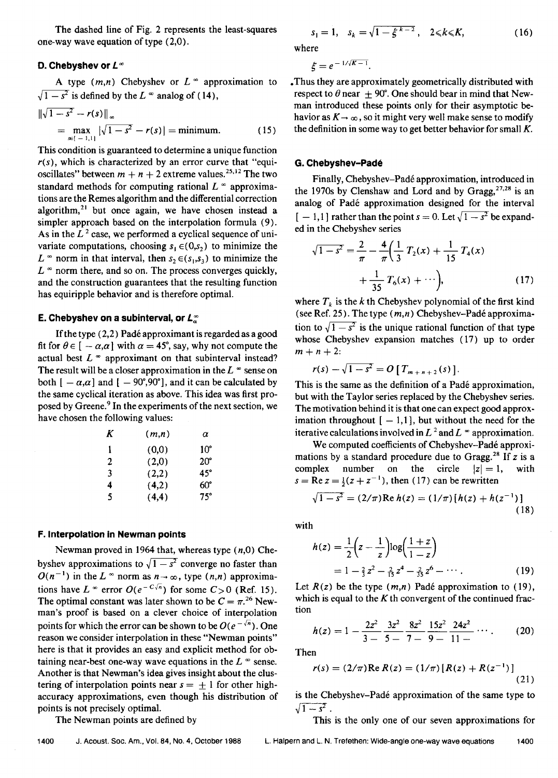**The dashed line of Fig. 2 represents the least-squares one-way wave equation of type (2,0).** 

## **D. Chebyshev or**  $L^{\infty}$

A type  $(m,n)$  Chebyshev or  $L^{\infty}$  approximation to  $\sqrt{1-s^2}$  is defined by the L  $\infty$  analog of (14),

$$
\|\sqrt{1-s^2} - r(s)\|_{\infty}
$$
  
=  $\max_{s \in \{-1,1\}} |\sqrt{1-s^2} - r(s)| = \text{minimum.}$  (15)

**This condition is guaranteed to determine a unique function r(s), which is characterized by an error curve that "equi**oscillates" between  $m + n + 2$  extreme values.<sup>25,12</sup> The two standard methods for computing rational  $L^{\infty}$  approxima**tions are the Remes algorithm and the differential correction algorithm, 21 but once again, we have chosen instead a simpler approach based on the interpolation formula (9).**  As in the  $L<sup>2</sup>$  case, we performed a cyclical sequence of univariate computations, choosing  $s_1 \in (0,s_2)$  to minimize the  $L^{\infty}$  norm in that interval, then  $s_2 \in (s_1, s_3)$  to minimize the  $L^{\infty}$  norm there, and so on. The process converges quickly, **and the construction guarantees that the resulting function has equiripple behavior and is therefore optimal.** 

## **E. Chebyshev on a subinterval, or**  $L^{\infty}_{\alpha}$

If the type (2,2) Padé approximant is regarded as a good fit for  $\theta \in [-\alpha, \alpha]$  with  $\alpha = 45^{\circ}$ , say, why not compute the actual best  $L^{\infty}$  approximant on that subinterval instead? The result will be a closer approximation in the  $L^{\infty}$  sense on both  $[-\alpha,\alpha]$  and  $[-90^\circ,90^\circ]$ , and it can be calculated by **the same cyclical iteration as above. This idea was first pro**posed by Greene.<sup>9</sup> In the experiments of the next section, we **have chosen the following values:** 

| (m,n) | α   |
|-------|-----|
| (0.0) | 10° |
| (2.0) | 20° |
| (2,2) | 45° |
| (4,2) | 60° |
| (4,4) | 75° |
|       |     |

#### **F. Interpolation in Newman points**

**Newman proved in 1964 that, whereas type (n,0) Che**byshev approximations to  $\sqrt{1-s^2}$  converge no faster than  $O(n^{-1})$  in the L  $\infty$  norm as  $n \to \infty$ , type  $(n, n)$  approximations have  $L \cong \text{error } O(e^{-C\sqrt{n}})$  for some  $C > 0$  (Ref. 15). The optimal constant was later shown to be  $C = \pi^{26}$ . New**man's proof is based on a clever choice of interpolation**  points for which the error can be shown to be  $O(e^{-\sqrt{n}})$ . One **reason we consider interpolation in these "Newman points" here is that it provides an easy and explicit method for ob**taining near-best one-way wave equations in the  $L^{\infty}$  sense. **Another is that Newman's idea gives insight about the clus**tering of interpolation points near  $s = +1$  for other high**accuracy approximations, even though his distribution of points is not precisely optimal.** 

**The Newman points are defined by** 

$$
s_1 = 1, \quad s_k = \sqrt{1 - \xi^{k-2}}, \quad 2 \le k \le K,\tag{16}
$$

**where** 

$$
\xi=e^{-1/\sqrt{K-1}}.
$$

**,Thus they are approximately geometrically distributed with**  respect to  $\theta$  near  $+90^\circ$ . One should bear in mind that New**man introduced these points only for their asymptotic be**havior as  $K \rightarrow \infty$ , so it might very well make sense to modify **the definition in some way to get better behavior for small K.** 

#### **G. Chebyshev-Pade**

Finally, Chebyshev-Padé approximation, introduced in the 1970s by Clenshaw and Lord and by Gragg,<sup>27,28</sup> is an analog of Padé approximation designed for the interval  $[-1,1]$  rather than the point  $s = 0$ . Let  $\sqrt{1 - s^2}$  be expand**ed in the Chebyshev series** 

$$
\sqrt{1-s^2} = \frac{2}{\pi} - \frac{4}{\pi} \left( \frac{1}{3} T_2(x) + \frac{1}{15} T_4(x) + \frac{1}{35} T_6(x) + \cdots \right),
$$
\n(17)

where  $T_k$  is the k th Chebyshev polynomial of the first kind (see Ref. 25). The type  $(m, n)$  Chebyshev-Padé approximation to  $\sqrt{1-s^2}$  is the unique rational function of that type **whose Chebyshev expansion matches (17) up to order**   $m+n+2$ :

$$
r(s) - \sqrt{1 - s^2} = O[T_{m+n+2}(s)].
$$

This is the same as the definition of a Padé approximation, **but with the Taylor series replaced by the Chebyshev series. The motivation behind it is that one can expect good approx**imation throughout  $[-1,1]$ , but without the need for the **iterative calculations involved in**  $L^2$  **and**  $L^\infty$  **approximation.** 

We computed coefficients of Chebyshev-Padé approximations by a standard procedure due to Gragg.<sup>28</sup> If z is a complex number on the circle  $|z| = 1$ , with complex number on the circle  $|z|=1$ ,  $s = \text{Re } z = \frac{1}{2}(z + z^{-1})$ , then (17) can be rewritten

$$
\sqrt{1 - s^2} = (2/\pi) \text{Re } h(z) = (1/\pi) [h(z) + h(z^{-1})]
$$
\n(18)

**with** 

$$
h(z) = \frac{1}{2} \left( z - \frac{1}{z} \right) \log \left( \frac{1+z}{1-z} \right)
$$
  
=  $1 - \frac{2}{3} z^2 - \frac{2}{13} z^4 - \frac{2}{33} z^6 - \cdots$  (19)

Let  $R(z)$  be the type  $(m,n)$  Padé approximation to (19), **which is equal to the K th convergent of the continued fraetion** 

$$
h(z) = 1 - \frac{2z^2}{3} - \frac{3z^2}{5} - \frac{8z^2}{7} - \frac{15z^2}{9} - \frac{24z^2}{11} \cdots
$$
 (20)

**Then** 

$$
r(s) = (2/\pi) \operatorname{Re} R(z) = (1/\pi) [R(z) + R(z^{-1})]
$$
\n(21)

**is the Chebyshev-Pad6 approximation of the same type to**   $\sqrt{1-s^2}$ .

**This is the only one of our seven approximations for**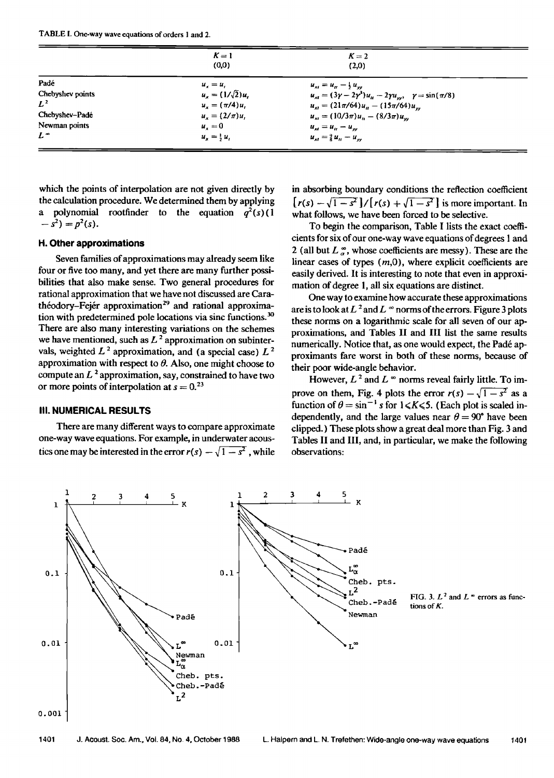**TABLE 1. One-way wave equations of orders 1 and 2.** 

|                  | $K=1$                   | $K=2$                                                                         |  |
|------------------|-------------------------|-------------------------------------------------------------------------------|--|
|                  | (0,0)                   | (2,0)                                                                         |  |
| Padé             | $u_{r} = u_{r}$         | $u_{st} = u_{tt} - \frac{1}{2} u_{ss}$                                        |  |
| Chebyshev points | $u_x = (1/\sqrt{2})u_t$ | $u_{xt} = (3\gamma - 2\gamma^3)u_{tt} - 2\gamma u_{yy}, \gamma = \sin(\pi/8)$ |  |
| $L^2$            | $u_x = (\pi/4)u,$       | $u_{x} = (21\pi/64)u_{y} - (15\pi/64)u_{yy}$                                  |  |
| Chebyshev-Padé   | $u_r = (2/\pi)u_r$      | $u_{st} = (10/3\pi)u_{tt} - (8/3\pi)u_{ss}$                                   |  |
| Newman points    | $u_z = 0$               | $u_{st} = u_{tt} - u_{ss}$                                                    |  |
| $L^{\infty}$     | $u_x = \frac{1}{2} u_x$ | $u_{st} = \frac{9}{8} u_{tt} - u_{yy}$                                        |  |

**which the points of interpolation are not given directly by the calculation procedure. We determined them by applying**  a polynomial rootfinder to the equation  $q^2(s)$  (1  $(s^2) = p^2(s)$ .

## **H. Other approximations**

**Seven families of approximations may already seem like four or five too many, and yet there are many further possibilities that also make sense. Two general procedures for rational approximation that we have not discussed are Cara**théodory-Fejér approximation<sup>29</sup> and rational approximation with predetermined pole locations via sinc functions.<sup>30</sup> **There are also many interesting variations on the schemes**  we have mentioned, such as  $L<sup>2</sup>$  approximation on subintervals, weighted  $L^2$  approximation, and (a special case)  $L^2$ approximation with respect to  $\theta$ . Also, one might choose to compute an  $L^2$  approximation, say, constrained to have two or more points of interpolation at  $s = 0$ .<sup>23</sup>

## **III. NUMERICAL RESULTS**

**There are many different ways to compare approximate one-way wave equations. For example, in underwater acous**tics one may be interested in the error  $r(s) - \sqrt{1-s^2}$ , while **in absorbing boundary conditions the reflection coefficient**   $\lceil r(s) - \sqrt{1-s^2} \rceil / \lceil r(s) + \sqrt{1-s^2} \rceil$  is more important. In **what follows, we have been forced to be selective.** 

**To begin the comparison, Table I lists the exact coefficients for six of our one-way wave equations of degrees I and**  2 (all but  $L^{\infty}_{a}$ , whose coefficients are messy). These are the **linear cases of types (m,0), where explicit coefficients are easily derived. It is interesting to note that even in approximation of degree 1, all six equations are distinct.** 

**One way to examine how accurate these approximations**  are is to look at  $L^2$  and  $L^{\infty}$  norms of the errors. Figure 3 plots **these norms on a logarithmic scale for all seven of our approximations, and Tables II and III list the same results**  numerically. Notice that, as one would expect, the Padé ap**proximants fare worst in both of these norms, because of their poor wide-angle behavior.** 

However,  $L^2$  and  $L^{\infty}$  norms reveal fairly little. To improve on them, Fig. 4 plots the error  $r(s) - \sqrt{1-s^2}$  as a function of  $\theta = \sin^{-1} s$  for  $1 \le K \le 5$ . (Each plot is scaled independently, and the large values near  $\theta = 90^{\circ}$  have been **clipped.) These plots show a great deal more than Fig. 3 and Tables II and III, and, in particular, we make the following observations:** 



FIG. 3.  $L^2$  and  $L^*$  errors as func-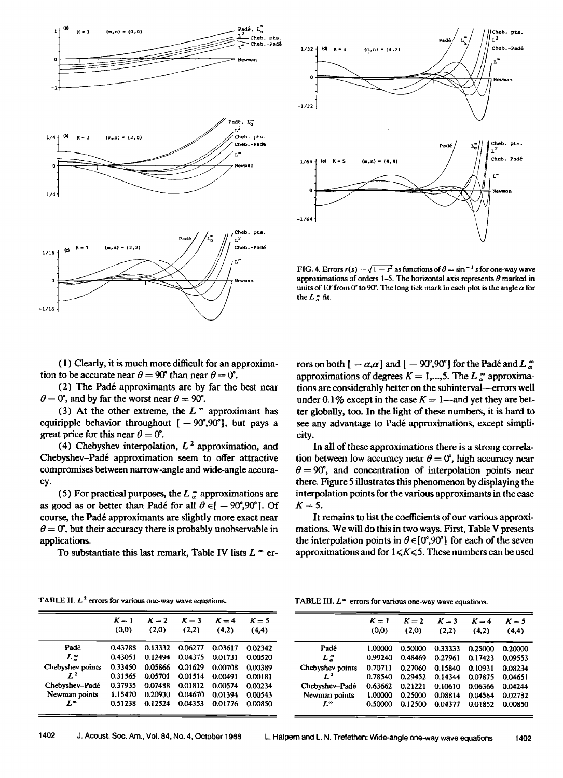



**FIG. 4. Errors**  $r(s) - \sqrt{1-s^2}$  **as functions of**  $\theta = \sin^{-1} s$  **for one-way wave** approximations of orders 1–5. The horizontal axis represents  $\theta$  marked in units of 10<sup> $\circ$ </sup> from 0<sup> $\circ$ </sup> to 90<sup> $\circ$ </sup>. The long tick mark in each plot is the angle  $\alpha$  for the  $L \circ \text{fit}$ .

**( 1 ) Clearly, it is much more difficult for an approximation to be accurate near**  $\theta = 90^\circ$  **than near**  $\theta = 0^\circ$ **.** 

**(2) The Pad6 approximants are by far the best near**   $\theta = 0^{\circ}$ , and by far the worst near  $\theta = 90^{\circ}$ .

(3) At the other extreme, the  $L^{\infty}$  approximant has equiripple behavior throughout  $[-90^\circ, 90^\circ]$ , but pays a **great price for this near**  $\theta = 0^{\circ}$ **.** 

(4) Chebyshev interpolation,  $L<sup>2</sup>$  approximation, and **Chebyshev-Pad6 approximation seem to offer attractive compromises between narrow-angle and wide-angle accuracy.** 

(5) For practical purposes, the  $L^{\infty}_{\alpha}$  approximations are as good as or better than Padé for all  $\theta \in [-90^\circ, 90^\circ]$ . Of **course, the Pad6 approximants are slightly more exact near**   $\theta = 0^{\circ}$ , but their accuracy there is probably unobservable in **applications.** 

To substantiate this last remark, Table IV lists  $L^{\infty}$  er-

**rors on both [** $-\alpha,\alpha$ ] and [ $-90^\circ,90^\circ$ ] for the Padé and L  $\alpha$ approximations of degrees  $K = 1,...,5$ . The L<sup>∞</sup> approximations are considerably better on the subinterval---errors well under 0.1% except in the case  $K = 1$ —and yet they are bet**ter globally, too. In the light of these numbers, it is hard to**  see any advantage to Padé approximations, except simpli**city.** 

**In all of these approximations there is a strong correla**tion between low accuracy near  $\theta = 0^{\circ}$ , high accuracy near  $\theta = 90^{\circ}$ , and concentration of interpolation points near **there. Figure 5 illustrates this phenomenon by displaying the interpolation points for the various approximants in the case**  $K = 5$ **.** 

**It remains to list the coefficients of our various approximations. We will do this in two ways. First, Table V presents**  the interpolation points in  $\theta \in [0^{\circ}, 90^{\circ}]$  for each of the seven approximations and for  $1 \leq K \leq 5$ . These numbers can be used

TABLE II. L<sup>2</sup> errors for various one-way wave equations.

|  | TABLE III. $L^{\infty}$ errors for various one-way wave equations |  |
|--|-------------------------------------------------------------------|--|
|--|-------------------------------------------------------------------|--|

|                  | $K=1$   | $K = 2$ | $K = 3$ | $K = 4$ | $K = 5$ |
|------------------|---------|---------|---------|---------|---------|
|                  | (0,0)   | (2.0)   | (2,2)   | (4.2)   | (4,4)   |
| Padé             | 0.43788 | 0.13332 | 0.06277 | 0.03617 | 0.02342 |
| $L_z^{\infty}$   | 0.43051 | 0.12494 | 0.04375 | 0.01731 | 0.00520 |
| Chebyshev points | 0.33450 | 0.05866 | 0.01629 | 0.00708 | 0.00389 |
| $\mathbf{r}^2$   | 0.31565 | 0.05701 | 0.01514 | 0.00491 | 0.00181 |
| Chebyshev-Padé   | 0.37935 | 0.07488 | 0.01812 | 0.00574 | 0.00234 |
| Newman points    | 1.15470 | 0.20930 | 0.04670 | 0.01394 | 0.00543 |
| L"               | 0.51238 | 0.12524 | 0.04353 | 0.01776 | 0.00850 |

|                  | $K=1$<br>(0,0) | $K = 2$<br>(2,0) | $K = 3$<br>(2,2) | $K = 4$<br>(4,2) | $K = 5$<br>(4,4) |                  | $K = 1$<br>(0,0)    | $K=2$<br>(2,0) | $K = 3$<br>(2,2) | $K = 4$<br>(4,2) | $K = 5$<br>(4,4) |
|------------------|----------------|------------------|------------------|------------------|------------------|------------------|---------------------|----------------|------------------|------------------|------------------|
| Padé             | 0.43788        | 0.13332          | 0.06277          | 0.03617          | 0.02342          | Padé             | 1.00000             | 0.50000        | 0.33333          | 0.25000          | 0.20000          |
| $L_n^{\infty}$   | 0.43051        | 0.12494          | 0.04375          | 0.01731          | 0.00520          | L 2              | 0.99240             | 0.48469        | 0.27961          | 0.17423          | 0.09553          |
| Chebyshev points | 0.33450        | 0.05866          | 0.01629          | 0.00708          | 0.00389          | Chebyshev points | 0.70711             | 0.27060        | 0.15840          | 0.10931          | 0.08234          |
|                  | 0.31565        | 0.05701          | 0.01514          | 0.00491          | 0.00181          | $L^2$            | 0.78540             | 0.29452        | 0.14344          | 0.07875          | 0.04651          |
| Chebyshev-Padé   | 0.37935        | 0.07488          | 0.01812          | 0.00574          | 0.00234          | Chebyshev-Padé   | $0.63662$ $0.21221$ |                | 0.10610          | 0.06366          | 0.04244          |
| Newman points    | 1.15470        | 0.20930          | 0.04670          | 0.01394          | 0.00543          | Newman points    | 1.00000             | 0.25000        | 0.08814          | 0.04564          | 0.02782          |
| L™               | 0.51238        | 0.12524          | 0.04353          | 0.01776          | 0.00850          | L™               | 0.50000             | 0.12500        | 0.04377          | 0.01852          | 0.00850          |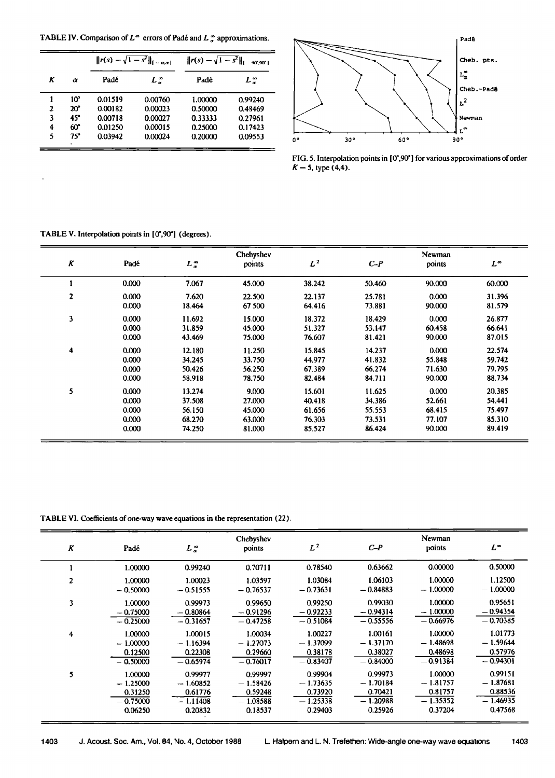**TABLE IV. Comparison of**  $L^{\infty}$  **errors of Padé and**  $L^{\infty}$  **approximations.** 

|   |              |         | $  r(s) - \sqrt{1-s^2}  _{[-a,a]}$ | $  r(s) - \sqrt{1-s^2}  _1$ | 90'.90' L |
|---|--------------|---------|------------------------------------|-----------------------------|-----------|
| Κ | $\alpha$     | Padé    | $L^{\infty}_{a}$                   | Padé                        | L =       |
|   | $10^{\circ}$ | 0.01519 | 0.00760                            | 1.00000                     | 0.99240   |
|   | $20^{\circ}$ | 0.00182 | 0.00023                            | 0.50000                     | 0.48469   |
| 3 | 45°          | 0.00718 | 0.00027                            | 0.33333                     | 0.27961   |
| 4 | 60°          | 0.01250 | 0.00015                            | 0.25000                     | 0.17423   |
| 5 | 75°          | 0.03942 | 0.00024                            | 0.20000                     | 0.09553   |



FIG. 5. Interpolation points in [0°,90°] for various approximations of order  $K = 5$ , type  $(4,4)$ .

## TABLE V. Interpolation points in [0°,90°] (degrees).

|              |       |                       | Chebyshev |        |        | Newman |              |  |  |
|--------------|-------|-----------------------|-----------|--------|--------|--------|--------------|--|--|
| Κ            | Padé  | $L_{\alpha}^{\infty}$ | points    | $L^2$  | $C-P$  | points | $L^{\infty}$ |  |  |
|              | 0.000 | 7.067                 | 45.000    | 38.242 | 50.460 | 90.000 | 60.000       |  |  |
| $\mathbf{z}$ | 0.000 | 7.620                 | 22.500    | 22.137 | 25.781 | 0.000  | 31.396       |  |  |
|              | 0.000 | 18.464                | 67 500    | 64.416 | 73.881 | 90.000 | 81.579       |  |  |
| $\mathbf{3}$ | 0.000 | 11.692                | 15.000    | 18.372 | 18.429 | 0.000  | 26.877       |  |  |
|              | 0.000 | 31.859                | 45.000    | 51.327 | 53.147 | 60.458 | 66.641       |  |  |
|              | 0.000 | 43.469                | 75.000    | 76,607 | 81.421 | 90.000 | 87.015       |  |  |
| 4            | 0.000 | 12.180                | 11.250    | 15.845 | 14.237 | 0.000  | 22.574       |  |  |
|              | 0.000 | 34.245                | 33.750    | 44.977 | 41.832 | 55.848 | 59.742       |  |  |
|              | 0.000 | 50.426                | 56.250    | 67.389 | 66.274 | 71.630 | 79.795       |  |  |
|              | 0.000 | 58.918                | 78.750    | 82.484 | 84.711 | 90.000 | 88.734       |  |  |
| 5            | 0.000 | 13.274                | 9.000     | 15.601 | 11.625 | 0.000  | 20.385       |  |  |
|              | 0.000 | 37.508                | 27.000    | 40.418 | 34.386 | 52.661 | 54.441       |  |  |
|              | 0.000 | 56.150                | 45.000    | 61.656 | 55.553 | 68.415 | 75.497       |  |  |
|              | 0.000 | 68.270                | 63.000    | 76.303 | 73.531 | 77.107 | 85.310       |  |  |
|              | 0,000 | 74.250                | 81.000    | 85.527 | 86.424 | 90.000 | 89.419       |  |  |

**TABLE VI. Coefficients of one-way wave equations in the representation (22).** 

| $\boldsymbol{K}$ | Padé       | $L_a^{\infty}$ | Chebyshev<br>points | $L^2$      | $C-P$      | Newman<br>points | $L^{\infty}$ |
|------------------|------------|----------------|---------------------|------------|------------|------------------|--------------|
|                  | 1.00000    | 0.99240        | 0.70711             | 0.78540    | 0.63662    | 0.00000          | 0.50000      |
| 2                | 1.00000    | 1.00023        | 1.03597             | 1.03084    | 1.06103    | 1.00000          | 1.12500      |
|                  | $-0.50000$ | $-0.51555$     | $-0.76537$          | $-0.73631$ | $-0.84883$ | $-1.00000$       | $-1.00000$   |
| 3                | 1.00000    | 0.99973        | 0.99650             | 0.99250    | 0.99030    | 1.00000          | 0.95651      |
|                  | $-0.75000$ | $-0.80864$     | $-0.91296$          | $-0.92233$ | $-0.94314$ | $-1.00000$       | $-0.94354$   |
|                  | $-0.25000$ | $-0.31657$     | $-0.47258$          | $-0.51084$ | $-0.55556$ | $-0.66976$       | $-0.70385$   |
| 4                | 1.00000    | 1.00015        | 1.00034             | 1.00227    | 1.00161    | 1.00000          | 1.01773      |
|                  | $-1.00000$ | $-1.16394$     | $-1.27073$          | $-1.37099$ | $-1.37170$ | $-1.48698$       | $-1.59644$   |
|                  | 0.12500    | 0.22308        | 0.29660             | 0.38178    | 0.38027    | 0.48698          | 0.57976      |
|                  | $-0.50000$ | $-0.65974$     | $-0.76017$          | $-0.83407$ | $-0.84000$ | $-0.91384$       | $-0.94301$   |
| 5                | 1.00000    | 0.99977        | 0.99997             | 0.99904    | 0.99973    | 1.00000          | 0.99151      |
|                  | $-1.25000$ | $-1.60852$     | $-1.58426$          | $-1.73635$ | $-1.70184$ | $-1.81757$       | $-1.87681$   |
|                  | 0.31250    | 0.61776        | 0.59248             | 0.73920    | 0.70421    | 0.81757          | 0.88536      |
|                  | $-0.75000$ | $-1.11408$     | $-1.08588$          | $-1.25338$ | $-1.20988$ | $-1.35352$       | $-1.46935$   |
|                  | 0.06250    | 0.20832        | 0.18537             | 0.29403    | 0.25926    | 0.37204          | 0.47568      |